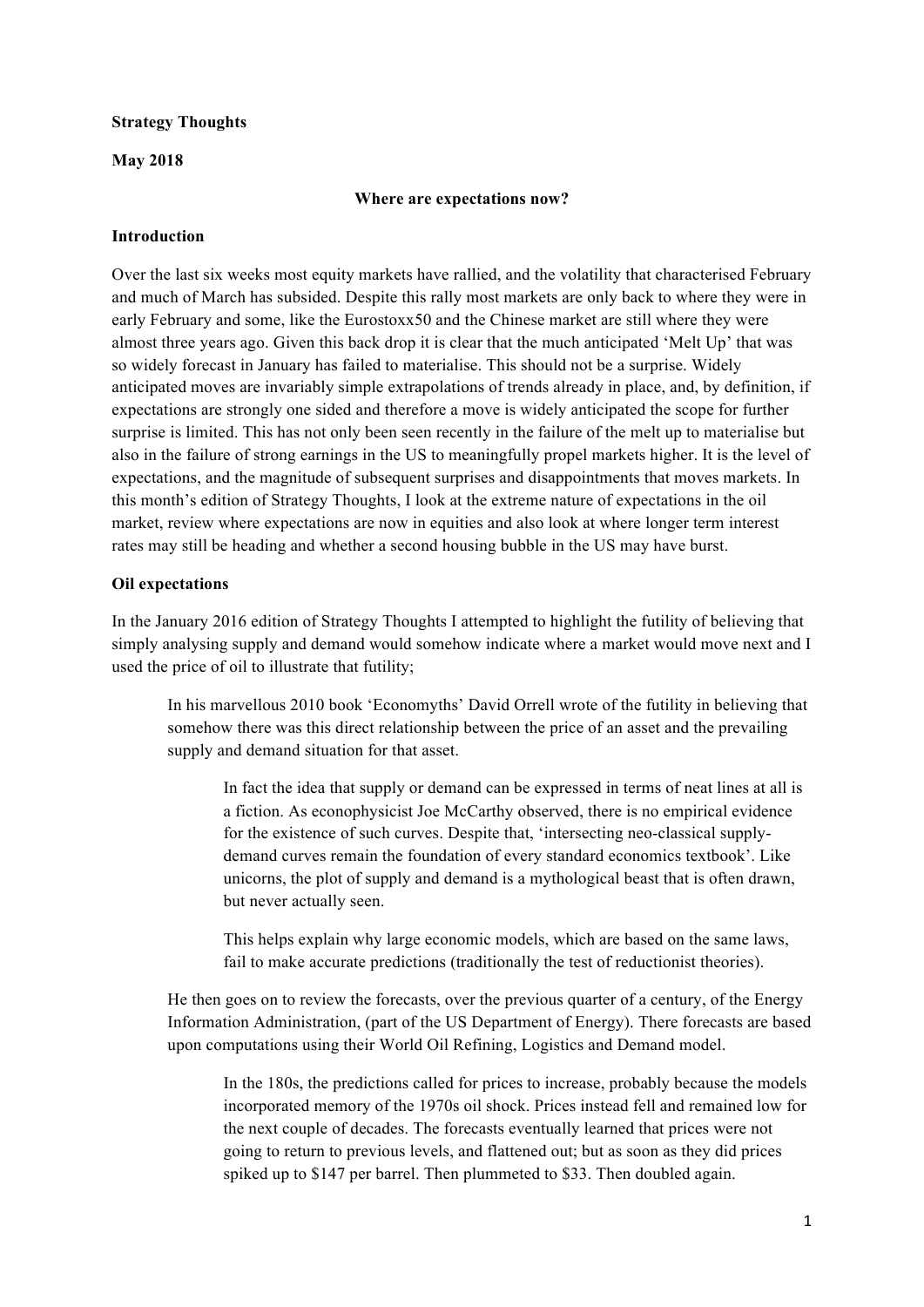#### **Strategy Thoughts**

#### **May 2018**

#### **Where are expectations now?**

#### **Introduction**

Over the last six weeks most equity markets have rallied, and the volatility that characterised February and much of March has subsided. Despite this rally most markets are only back to where they were in early February and some, like the Eurostoxx50 and the Chinese market are still where they were almost three years ago. Given this back drop it is clear that the much anticipated 'Melt Up' that was so widely forecast in January has failed to materialise. This should not be a surprise. Widely anticipated moves are invariably simple extrapolations of trends already in place, and, by definition, if expectations are strongly one sided and therefore a move is widely anticipated the scope for further surprise is limited. This has not only been seen recently in the failure of the melt up to materialise but also in the failure of strong earnings in the US to meaningfully propel markets higher. It is the level of expectations, and the magnitude of subsequent surprises and disappointments that moves markets. In this month's edition of Strategy Thoughts, I look at the extreme nature of expectations in the oil market, review where expectations are now in equities and also look at where longer term interest rates may still be heading and whether a second housing bubble in the US may have burst.

## **Oil expectations**

In the January 2016 edition of Strategy Thoughts I attempted to highlight the futility of believing that simply analysing supply and demand would somehow indicate where a market would move next and I used the price of oil to illustrate that futility;

In his marvellous 2010 book 'Economyths' David Orrell wrote of the futility in believing that somehow there was this direct relationship between the price of an asset and the prevailing supply and demand situation for that asset.

In fact the idea that supply or demand can be expressed in terms of neat lines at all is a fiction. As econophysicist Joe McCarthy observed, there is no empirical evidence for the existence of such curves. Despite that, 'intersecting neo-classical supplydemand curves remain the foundation of every standard economics textbook'. Like unicorns, the plot of supply and demand is a mythological beast that is often drawn, but never actually seen.

This helps explain why large economic models, which are based on the same laws, fail to make accurate predictions (traditionally the test of reductionist theories).

He then goes on to review the forecasts, over the previous quarter of a century, of the Energy Information Administration, (part of the US Department of Energy). There forecasts are based upon computations using their World Oil Refining, Logistics and Demand model.

In the 180s, the predictions called for prices to increase, probably because the models incorporated memory of the 1970s oil shock. Prices instead fell and remained low for the next couple of decades. The forecasts eventually learned that prices were not going to return to previous levels, and flattened out; but as soon as they did prices spiked up to \$147 per barrel. Then plummeted to \$33. Then doubled again.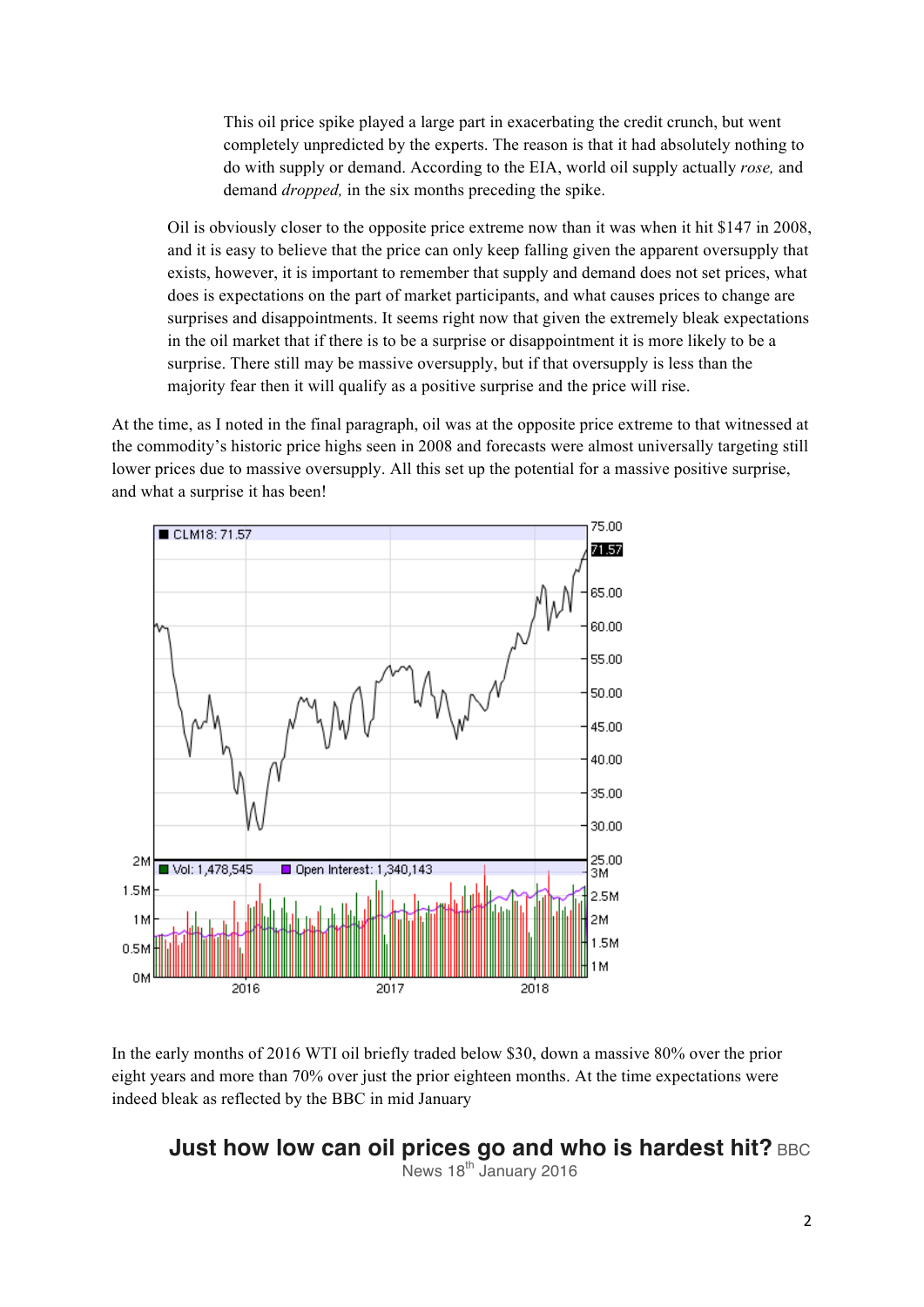This oil price spike played a large part in exacerbating the credit crunch, but went completely unpredicted by the experts. The reason is that it had absolutely nothing to do with supply or demand. According to the EIA, world oil supply actually *rose,* and demand *dropped,* in the six months preceding the spike.

Oil is obviously closer to the opposite price extreme now than it was when it hit \$147 in 2008, and it is easy to believe that the price can only keep falling given the apparent oversupply that exists, however, it is important to remember that supply and demand does not set prices, what does is expectations on the part of market participants, and what causes prices to change are surprises and disappointments. It seems right now that given the extremely bleak expectations in the oil market that if there is to be a surprise or disappointment it is more likely to be a surprise. There still may be massive oversupply, but if that oversupply is less than the majority fear then it will qualify as a positive surprise and the price will rise.

At the time, as I noted in the final paragraph, oil was at the opposite price extreme to that witnessed at the commodity's historic price highs seen in 2008 and forecasts were almost universally targeting still lower prices due to massive oversupply. All this set up the potential for a massive positive surprise, and what a surprise it has been!



In the early months of 2016 WTI oil briefly traded below \$30, down a massive 80% over the prior eight years and more than 70% over just the prior eighteen months. At the time expectations were indeed bleak as reflected by the BBC in mid January

# **Just how low can oil prices go and who is hardest hit? BBC**

News  $18<sup>th</sup>$  January 2016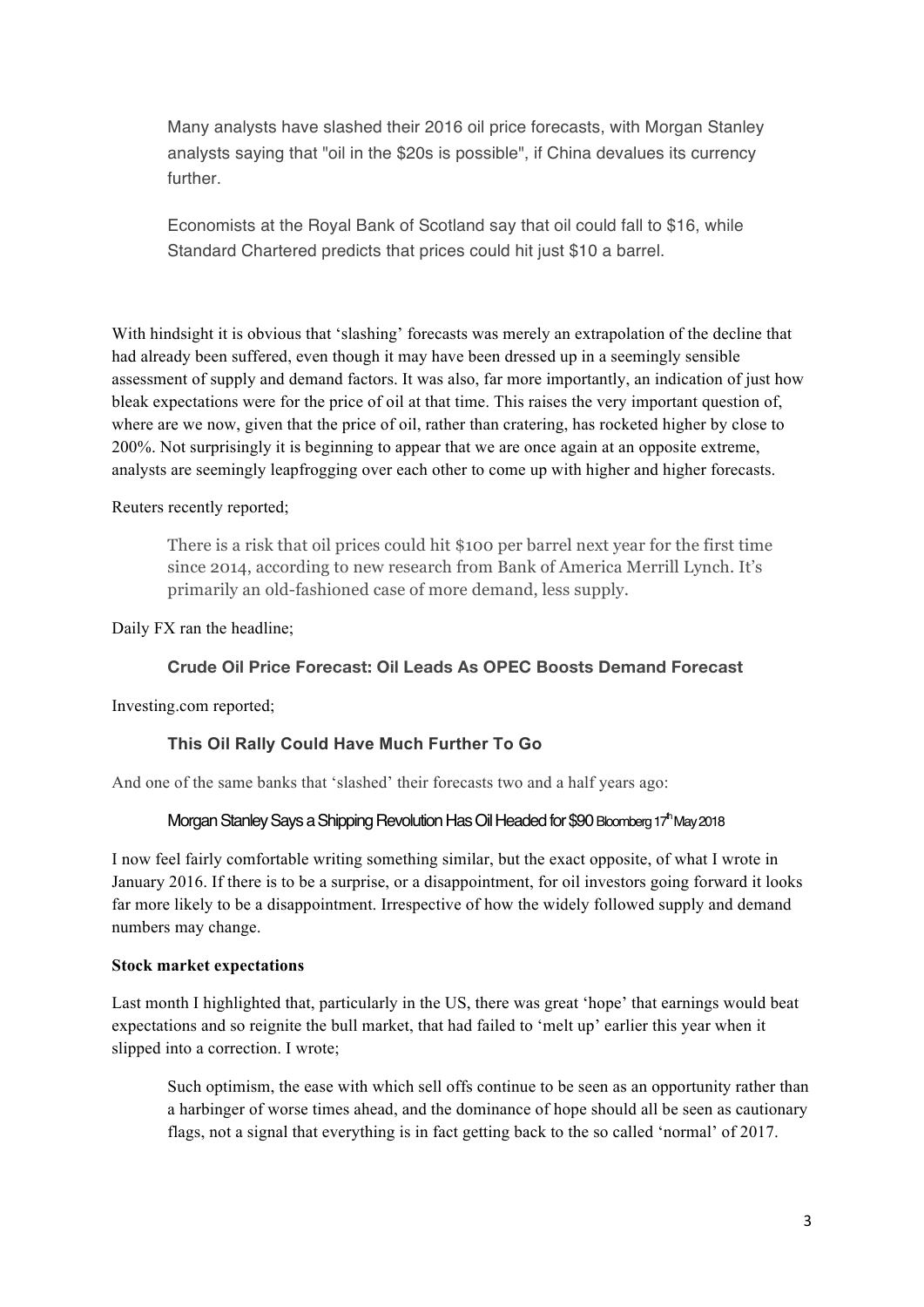Many analysts have slashed their 2016 oil price forecasts, with Morgan Stanley analysts saying that "oil in the \$20s is possible", if China devalues its currency further.

Economists at the Royal Bank of Scotland say that oil could fall to \$16, while Standard Chartered predicts that prices could hit just \$10 a barrel.

With hindsight it is obvious that 'slashing' forecasts was merely an extrapolation of the decline that had already been suffered, even though it may have been dressed up in a seemingly sensible assessment of supply and demand factors. It was also, far more importantly, an indication of just how bleak expectations were for the price of oil at that time. This raises the very important question of, where are we now, given that the price of oil, rather than cratering, has rocketed higher by close to 200%. Not surprisingly it is beginning to appear that we are once again at an opposite extreme, analysts are seemingly leapfrogging over each other to come up with higher and higher forecasts.

Reuters recently reported;

There is a risk that oil prices could hit \$100 per barrel next year for the first time since 2014, according to new research from Bank of America Merrill Lynch. It's primarily an old-fashioned case of more demand, less supply.

Daily FX ran the headline;

## **Crude Oil Price Forecast: Oil Leads As OPEC Boosts Demand Forecast**

Investing.com reported;

## **This Oil Rally Could Have Much Further To Go**

And one of the same banks that 'slashed' their forecasts two and a half years ago:

## Morgan Stanley Says a Shipping Revolution Has Oil Headed for \$90 Bloomberg 17<sup>th</sup> May 2018

I now feel fairly comfortable writing something similar, but the exact opposite, of what I wrote in January 2016. If there is to be a surprise, or a disappointment, for oil investors going forward it looks far more likely to be a disappointment. Irrespective of how the widely followed supply and demand numbers may change.

## **Stock market expectations**

Last month I highlighted that, particularly in the US, there was great 'hope' that earnings would beat expectations and so reignite the bull market, that had failed to 'melt up' earlier this year when it slipped into a correction. I wrote;

Such optimism, the ease with which sell offs continue to be seen as an opportunity rather than a harbinger of worse times ahead, and the dominance of hope should all be seen as cautionary flags, not a signal that everything is in fact getting back to the so called 'normal' of 2017.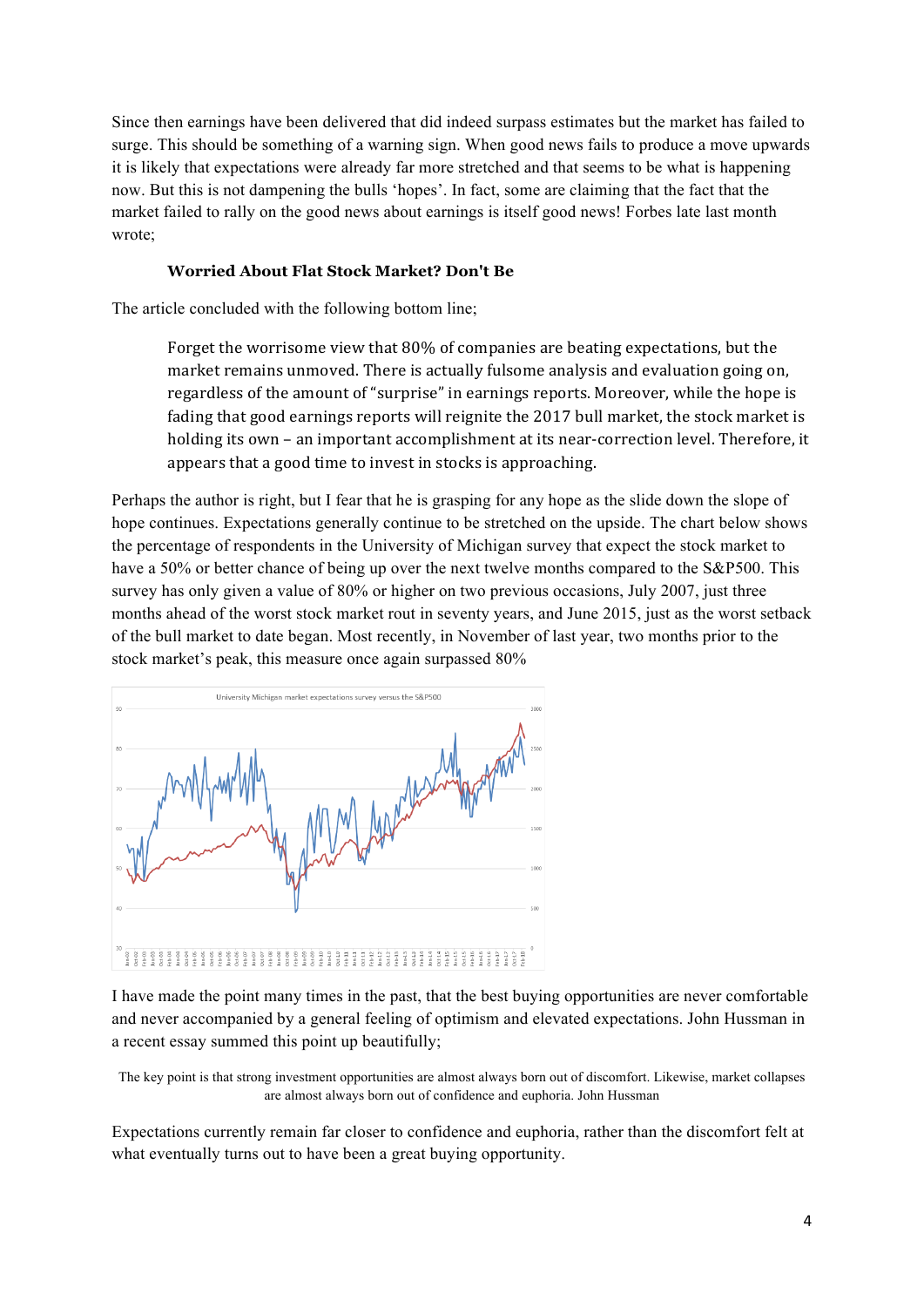Since then earnings have been delivered that did indeed surpass estimates but the market has failed to surge. This should be something of a warning sign. When good news fails to produce a move upwards it is likely that expectations were already far more stretched and that seems to be what is happening now. But this is not dampening the bulls 'hopes'. In fact, some are claiming that the fact that the market failed to rally on the good news about earnings is itself good news! Forbes late last month wrote;

#### **Worried About Flat Stock Market? Don't Be**

The article concluded with the following bottom line;

Forget the worrisome view that  $80\%$  of companies are beating expectations, but the market remains unmoved. There is actually fulsome analysis and evaluation going on, regardless of the amount of "surprise" in earnings reports. Moreover, while the hope is fading that good earnings reports will reignite the 2017 bull market, the stock market is holding its own – an important accomplishment at its near-correction level. Therefore, it appears that a good time to invest in stocks is approaching.

Perhaps the author is right, but I fear that he is grasping for any hope as the slide down the slope of hope continues. Expectations generally continue to be stretched on the upside. The chart below shows the percentage of respondents in the University of Michigan survey that expect the stock market to have a 50% or better chance of being up over the next twelve months compared to the S&P500. This survey has only given a value of 80% or higher on two previous occasions, July 2007, just three months ahead of the worst stock market rout in seventy years, and June 2015, just as the worst setback of the bull market to date began. Most recently, in November of last year, two months prior to the stock market's peak, this measure once again surpassed 80%



I have made the point many times in the past, that the best buying opportunities are never comfortable and never accompanied by a general feeling of optimism and elevated expectations. John Hussman in a recent essay summed this point up beautifully;

The key point is that strong investment opportunities are almost always born out of discomfort. Likewise, market collapses are almost always born out of confidence and euphoria. John Hussman

Expectations currently remain far closer to confidence and euphoria, rather than the discomfort felt at what eventually turns out to have been a great buying opportunity.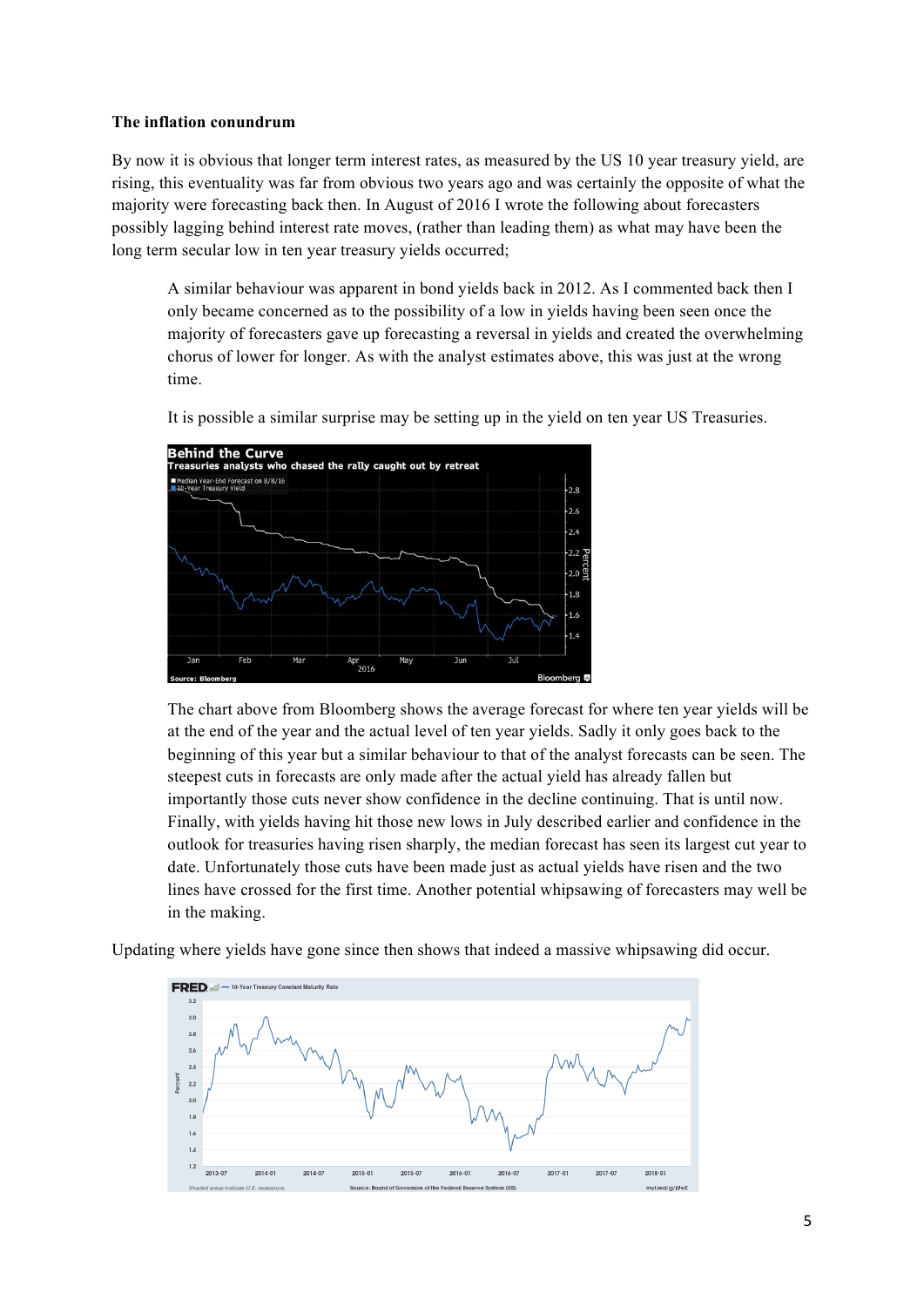#### **The inflation conundrum**

By now it is obvious that longer term interest rates, as measured by the US 10 year treasury yield, are rising, this eventuality was far from obvious two years ago and was certainly the opposite of what the majority were forecasting back then. In August of 2016 I wrote the following about forecasters possibly lagging behind interest rate moves, (rather than leading them) as what may have been the long term secular low in ten year treasury yields occurred;

A similar behaviour was apparent in bond yields back in 2012. As I commented back then I only became concerned as to the possibility of a low in yields having been seen once the majority of forecasters gave up forecasting a reversal in yields and created the overwhelming chorus of lower for longer. As with the analyst estimates above, this was just at the wrong time.



It is possible a similar surprise may be setting up in the yield on ten year US Treasuries.

The chart above from Bloomberg shows the average forecast for where ten year yields will be at the end of the year and the actual level of ten year yields. Sadly it only goes back to the beginning of this year but a similar behaviour to that of the analyst forecasts can be seen. The steepest cuts in forecasts are only made after the actual yield has already fallen but importantly those cuts never show confidence in the decline continuing. That is until now. Finally, with yields having hit those new lows in July described earlier and confidence in the outlook for treasuries having risen sharply, the median forecast has seen its largest cut year to date. Unfortunately those cuts have been made just as actual yields have risen and the two lines have crossed for the first time. Another potential whipsawing of forecasters may well be in the making.

Updating where yields have gone since then shows that indeed a massive whipsawing did occur.

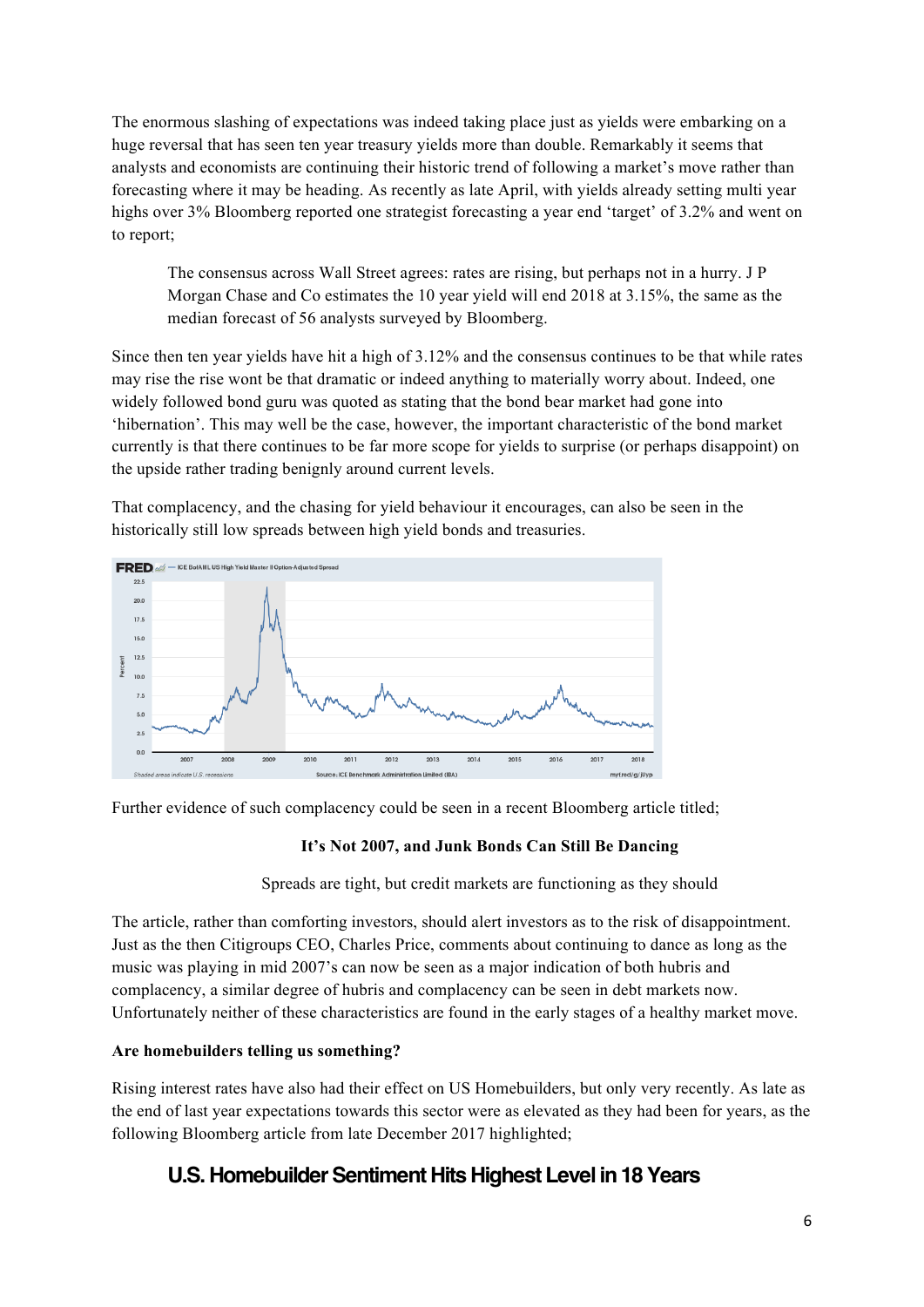The enormous slashing of expectations was indeed taking place just as yields were embarking on a huge reversal that has seen ten year treasury yields more than double. Remarkably it seems that analysts and economists are continuing their historic trend of following a market's move rather than forecasting where it may be heading. As recently as late April, with yields already setting multi year highs over 3% Bloomberg reported one strategist forecasting a year end 'target' of 3.2% and went on to report;

The consensus across Wall Street agrees: rates are rising, but perhaps not in a hurry. J P Morgan Chase and Co estimates the 10 year yield will end 2018 at 3.15%, the same as the median forecast of 56 analysts surveyed by Bloomberg.

Since then ten year yields have hit a high of 3.12% and the consensus continues to be that while rates may rise the rise wont be that dramatic or indeed anything to materially worry about. Indeed, one widely followed bond guru was quoted as stating that the bond bear market had gone into 'hibernation'. This may well be the case, however, the important characteristic of the bond market currently is that there continues to be far more scope for yields to surprise (or perhaps disappoint) on the upside rather trading benignly around current levels.

That complacency, and the chasing for yield behaviour it encourages, can also be seen in the historically still low spreads between high yield bonds and treasuries.



Further evidence of such complacency could be seen in a recent Bloomberg article titled;

## **It's Not 2007, and Junk Bonds Can Still Be Dancing**

Spreads are tight, but credit markets are functioning as they should

The article, rather than comforting investors, should alert investors as to the risk of disappointment. Just as the then Citigroups CEO, Charles Price, comments about continuing to dance as long as the music was playing in mid 2007's can now be seen as a major indication of both hubris and complacency, a similar degree of hubris and complacency can be seen in debt markets now. Unfortunately neither of these characteristics are found in the early stages of a healthy market move.

## **Are homebuilders telling us something?**

Rising interest rates have also had their effect on US Homebuilders, but only very recently. As late as the end of last year expectations towards this sector were as elevated as they had been for years, as the following Bloomberg article from late December 2017 highlighted;

# **U.S. Homebuilder Sentiment Hits Highest Level in 18 Years**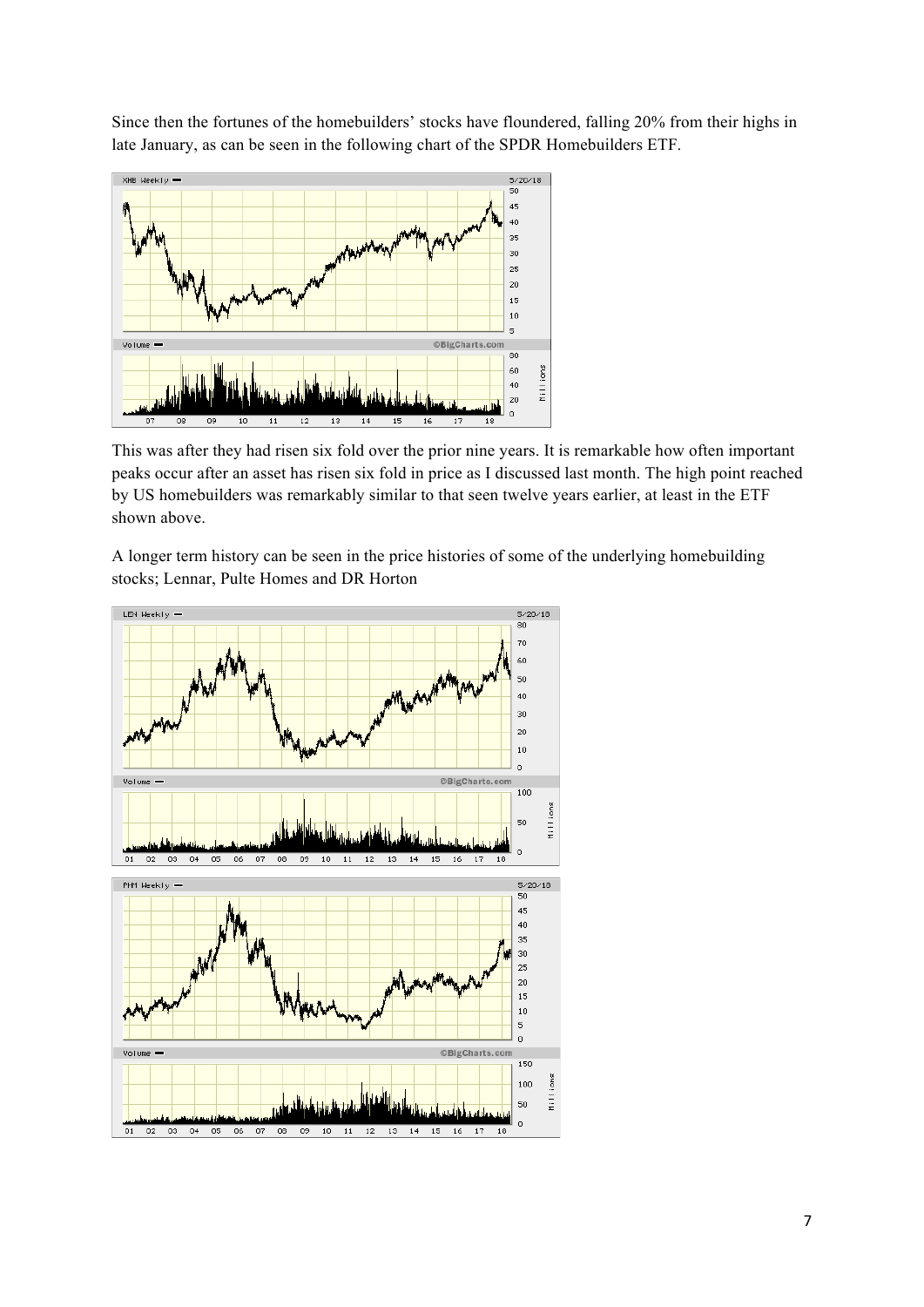Since then the fortunes of the homebuilders' stocks have floundered, falling 20% from their highs in late January, as can be seen in the following chart of the SPDR Homebuilders ETF.



This was after they had risen six fold over the prior nine years. It is remarkable how often important peaks occur after an asset has risen six fold in price as I discussed last month. The high point reached by US homebuilders was remarkably similar to that seen twelve years earlier, at least in the ETF shown above.

A longer term history can be seen in the price histories of some of the underlying homebuilding stocks; Lennar, Pulte Homes and DR Horton